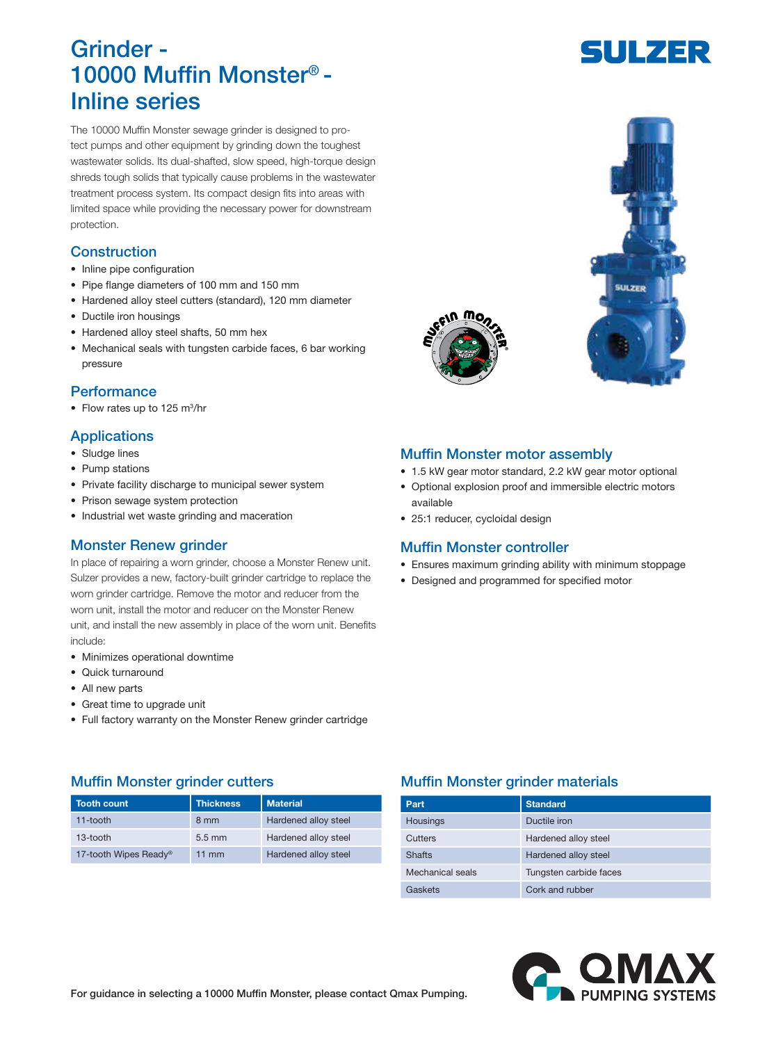# Grinder - 10000 Muffin Monster® - Inline series

The 10000 Muffin Monster sewage grinder is designed to protect pumps and other equipment by grinding down the toughest wastewater solids. Its dual-shafted, slow speed, high-torque design shreds tough solids that typically cause problems in the wastewater treatment process system. Its compact design fits into areas with limited space while providing the necessary power for downstream protection.

### **Construction**

- Inline pipe configuration
- Pipe flange diameters of 100 mm and 150 mm
- Hardened alloy steel cutters (standard), 120 mm diameter
- Ductile iron housings
- Hardened alloy steel shafts, 50 mm hex
- Mechanical seals with tungsten carbide faces, 6 bar working pressure

#### **Performance**

• Flow rates up to 125 m<sup>3</sup>/hr

#### **Applications**

- Sludge lines
- Pump stations
- Private facility discharge to municipal sewer system
- Prison sewage system protection
- Industrial wet waste grinding and maceration

#### Monster Renew grinder

In place of repairing a worn grinder, choose a Monster Renew unit. Sulzer provides a new, factory-built grinder cartridge to replace the worn grinder cartridge. Remove the motor and reducer from the worn unit, install the motor and reducer on the Monster Renew unit, and install the new assembly in place of the worn unit. Benefits include:

- Minimizes operational downtime
- Quick turnaround
- All new parts
- Great time to upgrade unit
- Full factory warranty on the Monster Renew grinder cartridge

## Muffin Monster grinder cutters **Muffin Monster grinder materials**

| <b>Tooth count</b>    | <b>Thickness</b> | <b>Material</b>      |
|-----------------------|------------------|----------------------|
| $11$ -tooth           | 8 mm             | Hardened alloy steel |
| 13-tooth              | $5.5 \text{ mm}$ | Hardened alloy steel |
| 17-tooth Wipes Ready® | $11 \text{ mm}$  | Hardened alloy steel |

| Part             | <b>Standard</b>        |
|------------------|------------------------|
| Housings         | Ductile iron           |
| Cutters          | Hardened alloy steel   |
| <b>Shafts</b>    | Hardened alloy steel   |
| Mechanical seals | Tungsten carbide faces |
| Gaskets          | Cork and rubber        |









#### Muffin Monster motor assembly

- 1.5 kW gear motor standard, 2.2 kW gear motor optional
- Optional explosion proof and immersible electric motors available
- 25:1 reducer, cycloidal design

#### Muffin Monster controller

- Ensures maximum grinding ability with minimum stoppage
- Designed and programmed for specified motor

For guidance in selecting a 10000 Muffin Monster, please contact Qmax Pumping.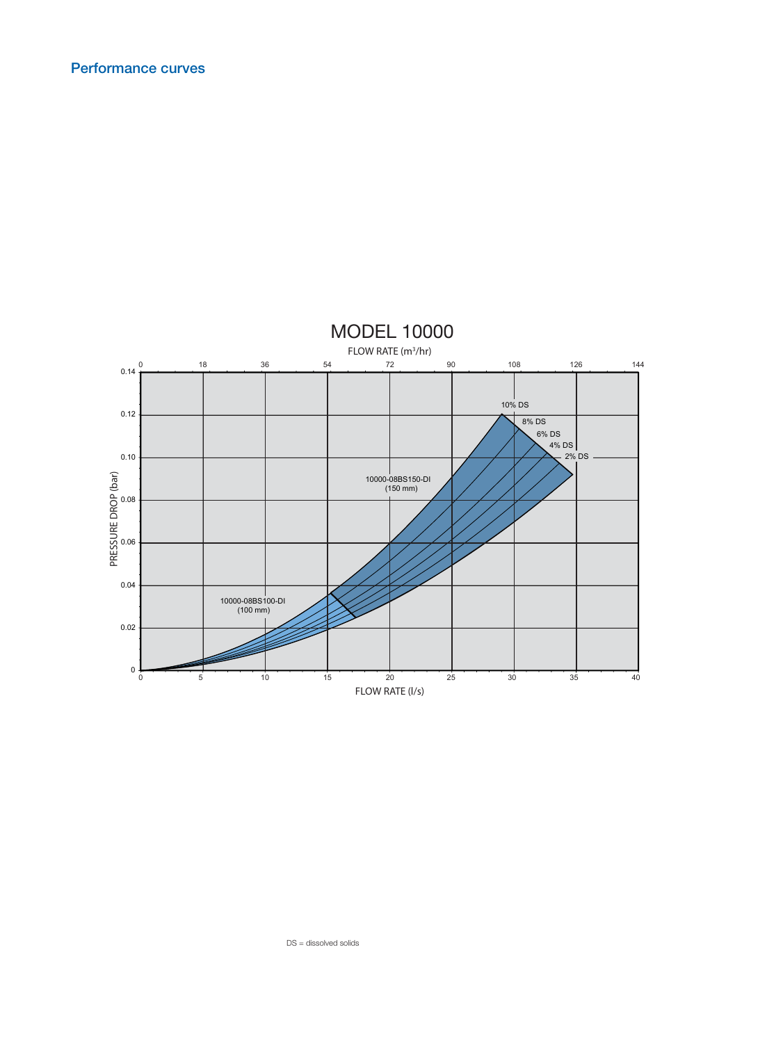

DS = dissolved solids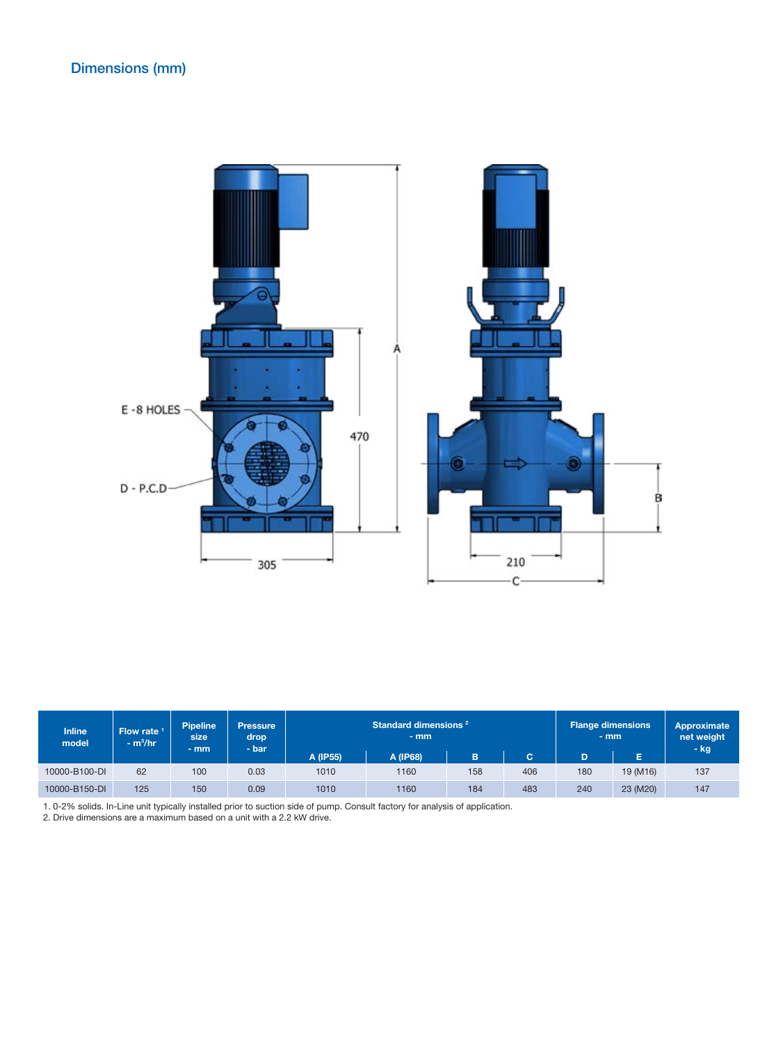

| <b>Inline</b><br>model | Flow rate 1<br>$- m3/hr$ | <b>Pipeline</b><br>size<br>$-$ mm | <b>Pressure</b><br>drop<br>- bar | Standard dimensions <sup>2</sup><br>$-$ mm |          | <b>Flange dimensions</b><br>$-$ mm |     | Approximate<br>net weight<br>– kg |          |     |
|------------------------|--------------------------|-----------------------------------|----------------------------------|--------------------------------------------|----------|------------------------------------|-----|-----------------------------------|----------|-----|
|                        |                          |                                   |                                  | A (IP55)                                   | A (IP68) | в                                  | C   | D                                 | E        |     |
| 10000-B100-DI          | 62                       | 100                               | 0.03                             | 1010                                       | 1160     | 158                                | 406 | 180                               | 19 (M16) | 137 |
| 10000-B150-DI          | 125                      | 150                               | 0.09                             | 1010                                       | 1160     | 184                                | 483 | 240                               | 23 (M20) | 147 |

1. 0-2% solids. In-Line unit typically installed prior to suction side of pump. Consult factory for analysis of application.

2. Drive dimensions are a maximum based on a unit with a 2.2 kW drive.